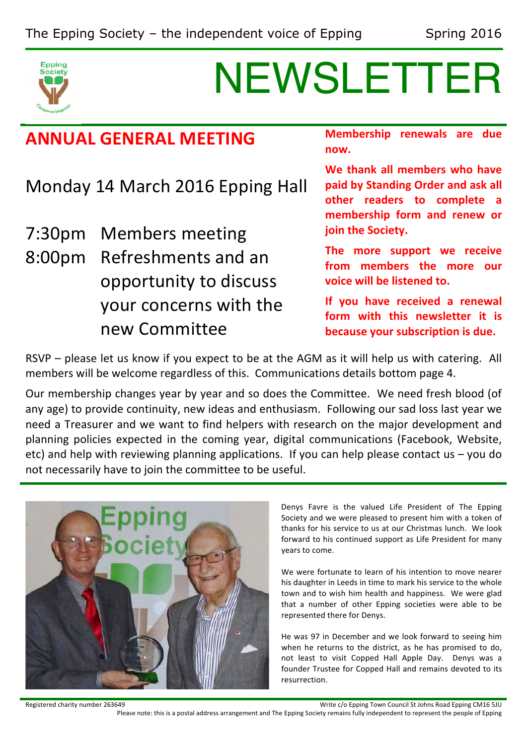

# NEWSLETTER

# **ANNUAL GENERAL MEETING**

Monday 14 March 2016 Epping Hall

7:30pm Members meeting 8:00pm Refreshments and an opportunity to discuss your concerns with the new Committee

**Membership renewals are due now.**

We thank all members who have paid by Standing Order and ask all other readers to complete a membership form and renew or **join the Society.** 

The more support we receive from members the more our **voice will be listened to.** 

**If** you have received a renewal form with this newsletter it is **because your subscription is due.** 

RSVP – please let us know if you expect to be at the AGM as it will help us with catering. All members will be welcome regardless of this. Communications details bottom page 4.

Our membership changes year by year and so does the Committee. We need fresh blood (of any age) to provide continuity, new ideas and enthusiasm. Following our sad loss last year we need a Treasurer and we want to find helpers with research on the major development and planning policies expected in the coming year, digital communications (Facebook, Website, etc) and help with reviewing planning applications. If you can help please contact us  $-$  you do not necessarily have to join the committee to be useful.



Denys Favre is the valued Life President of The Epping Society and we were pleased to present him with a token of thanks for his service to us at our Christmas lunch. We look forward to his continued support as Life President for many years to come.

We were fortunate to learn of his intention to move nearer his daughter in Leeds in time to mark his service to the whole town and to wish him health and happiness. We were glad that a number of other Epping societies were able to be represented there for Denys.

He was 97 in December and we look forward to seeing him when he returns to the district, as he has promised to do, not least to visit Copped Hall Apple Day. Denys was a founder Trustee for Copped Hall and remains devoted to its resurrection.

Registered charity number 263649 **Material Company of Connect Act Company** Write c/o Epping Town Council St Johns Road Epping CM16 5JU

Please note: this is a postal address arrangement and The Epping Society remains fully independent to represent the people of Epping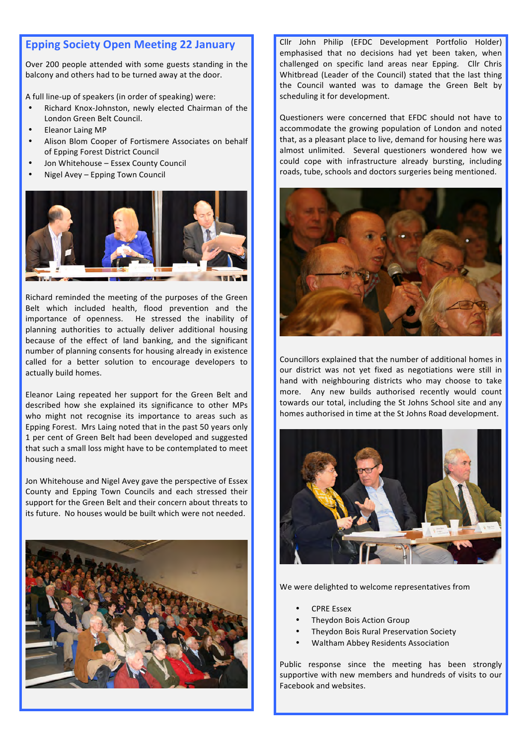# **Epping Society Open Meeting 22 January**

Over 200 people attended with some guests standing in the balcony and others had to be turned away at the door.

A full line-up of speakers (in order of speaking) were:

- Richard Knox-Johnston, newly elected Chairman of the London Green Belt Council.
- Eleanor Laing MP
- Alison Blom Cooper of Fortismere Associates on behalf of Epping Forest District Council
- Jon Whitehouse Essex County Council
- Nigel Avey Epping Town Council



Richard reminded the meeting of the purposes of the Green Belt which included health, flood prevention and the importance of openness. He stressed the inability of planning authorities to actually deliver additional housing because of the effect of land banking, and the significant number of planning consents for housing already in existence called for a better solution to encourage developers to actually build homes.

Eleanor Laing repeated her support for the Green Belt and described how she explained its significance to other MPs who might not recognise its importance to areas such as Epping Forest. Mrs Laing noted that in the past 50 years only 1 per cent of Green Belt had been developed and suggested that such a small loss might have to be contemplated to meet housing need.

Jon Whitehouse and Nigel Avey gave the perspective of Essex County and Epping Town Councils and each stressed their support for the Green Belt and their concern about threats to its future. No houses would be built which were not needed.



Cllr John Philip (EFDC Development Portfolio Holder) emphasised that no decisions had yet been taken, when challenged on specific land areas near Epping. Cllr Chris Whitbread (Leader of the Council) stated that the last thing the Council wanted was to damage the Green Belt by scheduling it for development.

Questioners were concerned that EFDC should not have to accommodate the growing population of London and noted that, as a pleasant place to live, demand for housing here was almost unlimited. Several questioners wondered how we could cope with infrastructure already bursting, including roads, tube, schools and doctors surgeries being mentioned.



Councillors explained that the number of additional homes in our district was not yet fixed as negotiations were still in hand with neighbouring districts who may choose to take more. Any new builds authorised recently would count towards our total, including the St Johns School site and any homes authorised in time at the St Johns Road development.



We were delighted to welcome representatives from

- **CPRE Essex**
- Theydon Bois Action Group
- Theydon Bois Rural Preservation Society
- Waltham Abbey Residents Association

Public response since the meeting has been strongly supportive with new members and hundreds of visits to our Facebook and websites.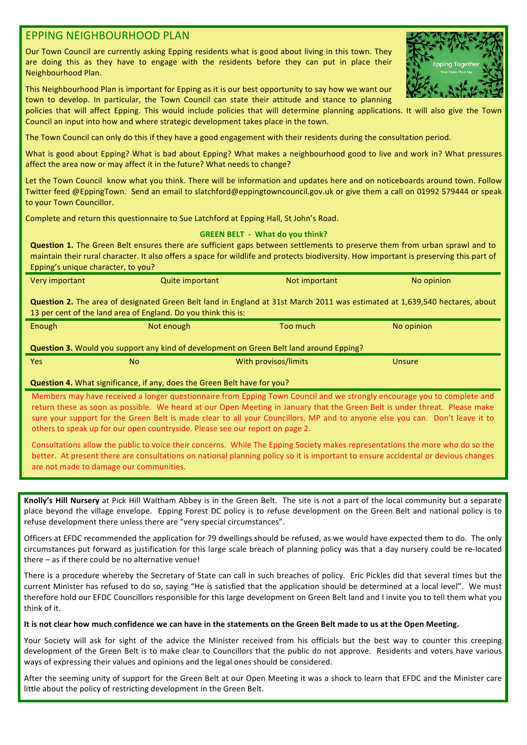## **EPPING NEIGHBOURHOOD PLAN**

Our Town Council are currently asking Epping residents what is good about living in this town. They are doing this as they have to engage with the residents before they can put in place their Neighbourhood Plan.

This Neighbourhood Plan is important for Epping as it is our best opportunity to say how we want our town to develop. In particular, the Town Council can state their attitude and stance to planning

policies that will affect Epping. This would include policies that will determine planning applications. It will also give the Town Council an input into how and where strategic development takes place in the town.

The Town Council can only do this if they have a good engagement with their residents during the consultation period.

What is good about Epping? What is bad about Epping? What makes a neighbourhood good to live and work in? What pressures affect the area now or may affect it in the future? What needs to change?

Let the Town Council know what you think. There will be information and updates here and on noticeboards around town. Follow Twitter feed @EppingTown. Send an email to slatchford@eppingtowncouncil.gov.uk or give them a call on 01992 579444 or speak to your Town Councillor.

Complete and return this questionnaire to Sue Latchford at Epping Hall, St John's Road.

#### **GREEN BELT - What do you think?**

**Question 1.** The Green Belt ensures there are sufficient gaps between settlements to preserve them from urban sprawl and to maintain their rural character. It also offers a space for wildlife and protects biodiversity. How important is preserving this part of Epping's unique character, to you?

| <b>Very important</b> | Quite important | Not important | No opinion                                                                                                                         |
|-----------------------|-----------------|---------------|------------------------------------------------------------------------------------------------------------------------------------|
|                       |                 |               | <b>Question 2.</b> The area of designated Green Belt land in England at 31st March 2011 was estimated at 1,639,540 hectares, about |

13 per cent of the land area of England. Do you think this is:

| Enough                                                                                         | Not enough           | Too much | No opinion |  |  |
|------------------------------------------------------------------------------------------------|----------------------|----------|------------|--|--|
| <b>Question 3.</b> Would you support any kind of development on Green Belt land around Epping? |                      |          |            |  |  |
| <b>Yes</b><br>No                                                                               | With provisos/limits |          | Unsure     |  |  |
| $\bullet$ is a subset of the set of $\bullet$ in the set of $\bullet$                          |                      |          |            |  |  |

#### **Question 4.** What significance, if any, does the Green Belt have for you?

Members may have received a longer questionnaire from Epping Town Council and we strongly encourage you to complete and return these as soon as possible. We heard at our Open Meeting in January that the Green Belt is under threat. Please make sure your support for the Green Belt is made clear to all your Councillors, MP and to anyone else you can. Don't leave it to others to speak up for our open countryside. Please see our report on page 2.

Consultations allow the public to voice their concerns. While The Epping Society makes representations the more who do so the better. At present there are consultations on national planning policy so it is important to ensure accidental or devious changes are not made to damage our communities.

Knolly's Hill Nursery at Pick Hill Waltham Abbey is in the Green Belt. The site is not a part of the local community but a separate place beyond the village envelope. Epping Forest DC policy is to refuse development on the Green Belt and national policy is to refuse development there unless there are "very special circumstances".

Officers at EFDC recommended the application for 79 dwellings should be refused, as we would have expected them to do. The only circumstances put forward as justification for this large scale breach of planning policy was that a day nursery could be re-located there  $-$  as if there could be no alternative venue!

There is a procedure whereby the Secretary of State can call in such breaches of policy. Eric Pickles did that several times but the current Minister has refused to do so, saying "He is satisfied that the application should be determined at a local level". We must therefore hold our EFDC Councillors responsible for this large development on Green Belt land and I invite you to tell them what you think of it.

### It is not clear how much confidence we can have in the statements on the Green Belt made to us at the Open Meeting.

Your Society will ask for sight of the advice the Minister received from his officials but the best way to counter this creeping development of the Green Belt is to make clear to Councillors that the public do not approve. Residents and voters have various ways of expressing their values and opinions and the legal ones should be considered.

After the seeming unity of support for the Green Belt at our Open Meeting it was a shock to learn that EFDC and the Minister care little about the policy of restricting development in the Green Belt.